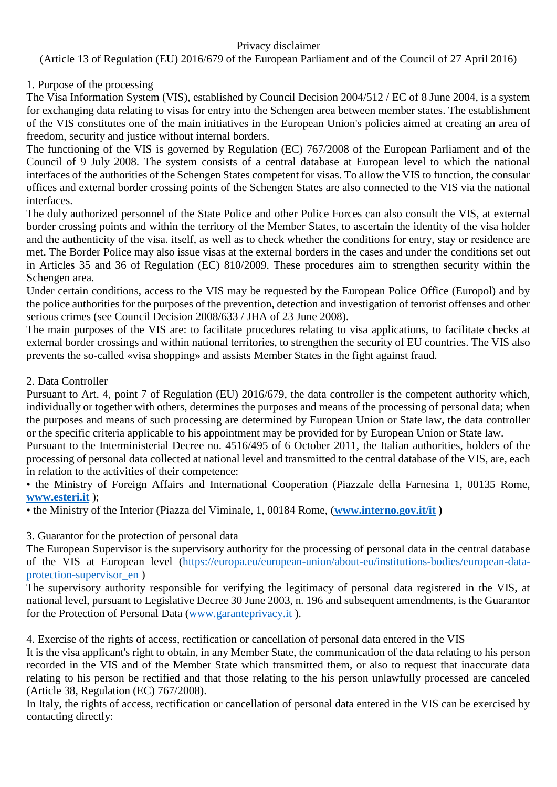## Privacy disclaimer

(Article 13 of Regulation (EU) 2016/679 of the European Parliament and of the Council of 27 April 2016)

## 1. Purpose of the processing

The Visa Information System (VIS), established by Council Decision 2004/512 / EC of 8 June 2004, is a system for exchanging data relating to visas for entry into the Schengen area between member states. The establishment of the VIS constitutes one of the main initiatives in the European Union's policies aimed at creating an area of freedom, security and justice without internal borders.

The functioning of the VIS is governed by Regulation (EC) 767/2008 of the European Parliament and of the Council of 9 July 2008. The system consists of a central database at European level to which the national interfaces of the authorities of the Schengen States competent for visas. To allow the VIS to function, the consular offices and external border crossing points of the Schengen States are also connected to the VIS via the national interfaces.

The duly authorized personnel of the State Police and other Police Forces can also consult the VIS, at external border crossing points and within the territory of the Member States, to ascertain the identity of the visa holder and the authenticity of the visa. itself, as well as to check whether the conditions for entry, stay or residence are met. The Border Police may also issue visas at the external borders in the cases and under the conditions set out in Articles 35 and 36 of Regulation (EC) 810/2009. These procedures aim to strengthen security within the Schengen area.

Under certain conditions, access to the VIS may be requested by the European Police Office (Europol) and by the police authorities for the purposes of the prevention, detection and investigation of terrorist offenses and other serious crimes (see Council Decision 2008/633 / JHA of 23 June 2008).

The main purposes of the VIS are: to facilitate procedures relating to visa applications, to facilitate checks at external border crossings and within national territories, to strengthen the security of EU countries. The VIS also prevents the so-called «visa shopping» and assists Member States in the fight against fraud.

## 2. Data Controller

Pursuant to Art. 4, point 7 of Regulation (EU) 2016/679, the data controller is the competent authority which, individually or together with others, determines the purposes and means of the processing of personal data; when the purposes and means of such processing are determined by European Union or State law, the data controller or the specific criteria applicable to his appointment may be provided for by European Union or State law.

Pursuant to the Interministerial Decree no. 4516/495 of 6 October 2011, the Italian authorities, holders of the processing of personal data collected at national level and transmitted to the central database of the VIS, are, each in relation to the activities of their competence:

• the Ministry of Foreign Affairs and International Cooperation (Piazzale della Farnesina 1, 00135 Rome, **[www.esteri.it](http://www.esteri.it/)** );

• the Ministry of the Interior (Piazza del Viminale, 1, 00184 Rome, (**[www.interno.gov.it/it](http://www.interno.gov.it/it) )**

3. Guarantor for the protection of personal data

The European Supervisor is the supervisory authority for the processing of personal data in the central database of the VIS at European level [\(https://europa.eu/european-union/about-eu/institutions-bodies/european-data](https://europa.eu/european-union/about-eu/institutions-bodies/european-data-protection-supervisor_en)[protection-supervisor\\_en](https://europa.eu/european-union/about-eu/institutions-bodies/european-data-protection-supervisor_en) )

The supervisory authority responsible for verifying the legitimacy of personal data registered in the VIS, at national level, pursuant to Legislative Decree 30 June 2003, n. 196 and subsequent amendments, is the Guarantor for the Protection of Personal Data [\(www.garanteprivacy.it](http://www.garanteprivacy.it/) ).

4. Exercise of the rights of access, rectification or cancellation of personal data entered in the VIS

It is the visa applicant's right to obtain, in any Member State, the communication of the data relating to his person recorded in the VIS and of the Member State which transmitted them, or also to request that inaccurate data relating to his person be rectified and that those relating to the his person unlawfully processed are canceled (Article 38, Regulation (EC) 767/2008).

In Italy, the rights of access, rectification or cancellation of personal data entered in the VIS can be exercised by contacting directly: